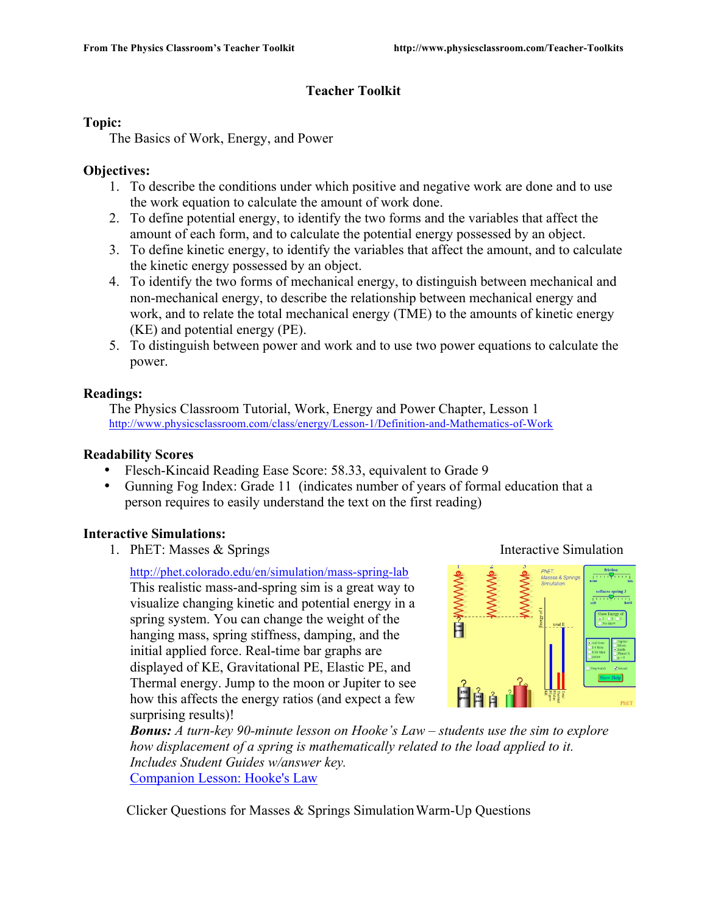## **Teacher Toolkit**

### **Topic:**

The Basics of Work, Energy, and Power

### **Objectives:**

- 1. To describe the conditions under which positive and negative work are done and to use the work equation to calculate the amount of work done.
- 2. To define potential energy, to identify the two forms and the variables that affect the amount of each form, and to calculate the potential energy possessed by an object.
- 3. To define kinetic energy, to identify the variables that affect the amount, and to calculate the kinetic energy possessed by an object.
- 4. To identify the two forms of mechanical energy, to distinguish between mechanical and non-mechanical energy, to describe the relationship between mechanical energy and work, and to relate the total mechanical energy (TME) to the amounts of kinetic energy (KE) and potential energy (PE).
- 5. To distinguish between power and work and to use two power equations to calculate the power.

### **Readings:**

The Physics Classroom Tutorial, Work, Energy and Power Chapter, Lesson 1 http://www.physicsclassroom.com/class/energy/Lesson-1/Definition-and-Mathematics-of-Work

### **Readability Scores**

- Flesch-Kincaid Reading Ease Score: 58.33, equivalent to Grade 9
- Gunning Fog Index: Grade 11 (indicates number of years of formal education that a person requires to easily understand the text on the first reading)

## **Interactive Simulations:**

1. PhET: Masses & Springs Interactive Simulation

http://phet.colorado.edu/en/simulation/mass-spring-lab This realistic mass-and-spring sim is a great way to visualize changing kinetic and potential energy in a spring system. You can change the weight of the hanging mass, spring stiffness, damping, and the initial applied force. Real-time bar graphs are displayed of KE, Gravitational PE, Elastic PE, and Thermal energy. Jump to the moon or Jupiter to see how this affects the energy ratios (and expect a few surprising results)!



*Bonus: A turn-key 90-minute lesson on Hooke's Law – students use the sim to explore how displacement of a spring is mathematically related to the load applied to it. Includes Student Guides w/answer key.*  Companion Lesson: Hooke's Law

Clicker Questions for Masses  $\&$  Springs Simulation Warm-Up Questions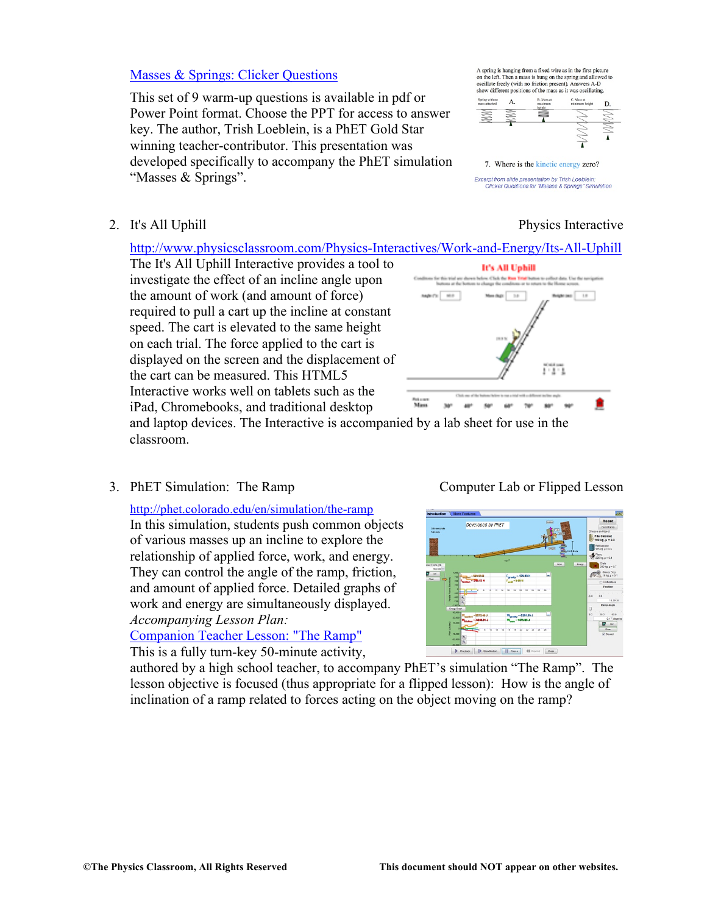### Masses & Springs: Clicker Questions

This set of 9 warm-up questions is available in pdf or Power Point format. Choose the PPT for access to answer key. The author, Trish Loeblein, is a PhET Gold Star winning teacher-contributor. This presentation was developed specifically to accompany the PhET simulation "Masses & Springs".

A spring is hanging from a fixed wire as in the first picture on the left. Then a mass is hung on the spring and allowed to oscillate freely (with no friction present). Answers A-D show different positions of the ma ass as it was oscillating



7. Where is the kinetic energy zero?

Excerpt from slide presentation by Trish Loeblein:<br>Clicker Questions for "Masses & Springs" Simulation

2. It's All Uphill Physics Interactive

http://www.physicsclassroom.com/Physics-Interactives/Work-and-Energy/Its-All-Uphill

The It's All Uphill Interactive provides a tool to investigate the effect of an incline angle upon the amount of work (and amount of force) required to pull a cart up the incline at constant speed. The cart is elevated to the same height on each trial. The force applied to the cart is displayed on the screen and the displacement of the cart can be measured. This HTML5 Interactive works well on tablets such as the iPad, Chromebooks, and traditional desktop



and laptop devices. The Interactive is accompanied by a lab sheet for use in the classroom.

3. PhET Simulation: The Ramp Computer Lab or Flipped Lesson

http://phet.colorado.edu/en/simulation/the-ramp In this simulation, students push common objects of various masses up an incline to explore the relationship of applied force, work, and energy. They can control the angle of the ramp, friction, and amount of applied force. Detailed graphs of work and energy are simultaneously displayed. *Accompanying Lesson Plan:*

Companion Teacher Lesson: "The Ramp" This is a fully turn-key 50-minute activity,



authored by a high school teacher, to accompany PhET's simulation "The Ramp". The lesson objective is focused (thus appropriate for a flipped lesson): How is the angle of inclination of a ramp related to forces acting on the object moving on the ramp?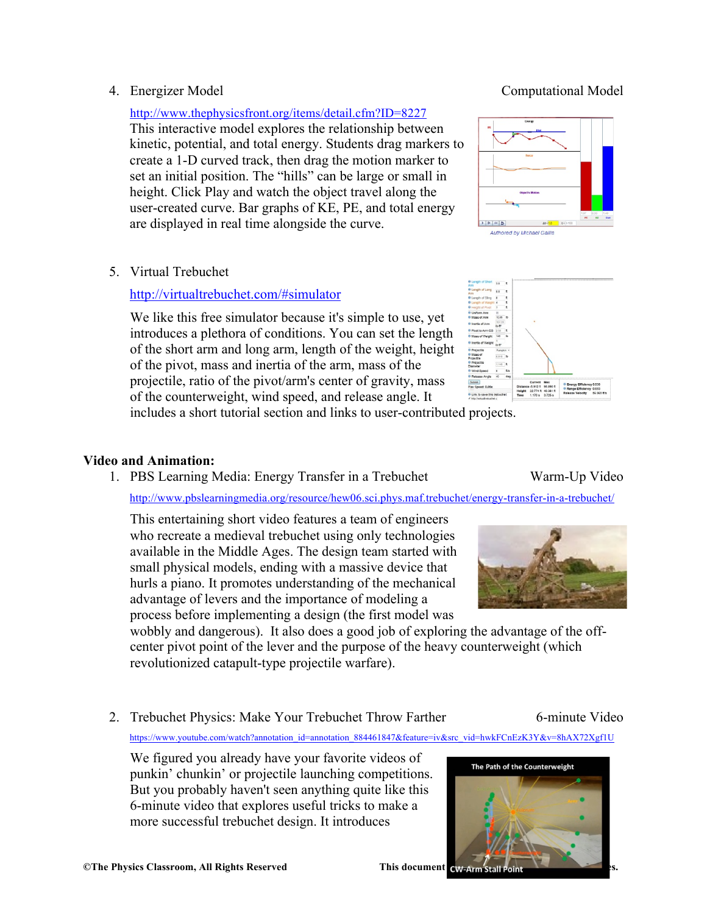### http://www.thephysicsfront.org/items/detail.cfm?ID=8227

This interactive model explores the relationship between kinetic, potential, and total energy. Students drag markers to create a 1-D curved track, then drag the motion marker to set an initial position. The "hills" can be large or small in height. Click Play and watch the object travel along the user-created curve. Bar graphs of KE, PE, and total energy are displayed in real time alongside the curve.

5. Virtual Trebuchet

## http://virtualtrebuchet.com/#simulator

We like this free simulator because it's simple to use, yet introduces a plethora of conditions. You can set the length of the short arm and long arm, length of the weight, height of the pivot, mass and inertia of the arm, mass of the projectile, ratio of the pivot/arm's center of gravity, mass of the counterweight, wind speed, and release angle. It includes a short tutorial section and links to user-contributed projects.

### **Video and Animation:**

1. PBS Learning Media: Energy Transfer in a Trebuchet Warm-Up Video

http://www.pbslearningmedia.org/resource/hew06.sci.phys.maf.trebuchet/energy-transfer-in-a-trebuchet/

This entertaining short video features a team of engineers who recreate a medieval trebuchet using only technologies available in the Middle Ages. The design team started with small physical models, ending with a massive device that hurls a piano. It promotes understanding of the mechanical advantage of levers and the importance of modeling a process before implementing a design (the first model was

wobbly and dangerous). It also does a good job of exploring the advantage of the offcenter pivot point of the lever and the purpose of the heavy counterweight (which revolutionized catapult-type projectile warfare).

2. Trebuchet Physics: Make Your Trebuchet Throw Farther 6-minute Video

https://www.youtube.com/watch?annotation\_id=annotation\_884461847&feature=iv&src\_vid=hwkFCnEzK3Y&v=8hAX72Xgf1U

We figured you already have your favorite videos of punkin' chunkin' or projectile launching competitions. But you probably haven't seen anything quite like this 6-minute video that explores useful tricks to make a more successful trebuchet design. It introduces

### 4. Energizer Model Computational Model









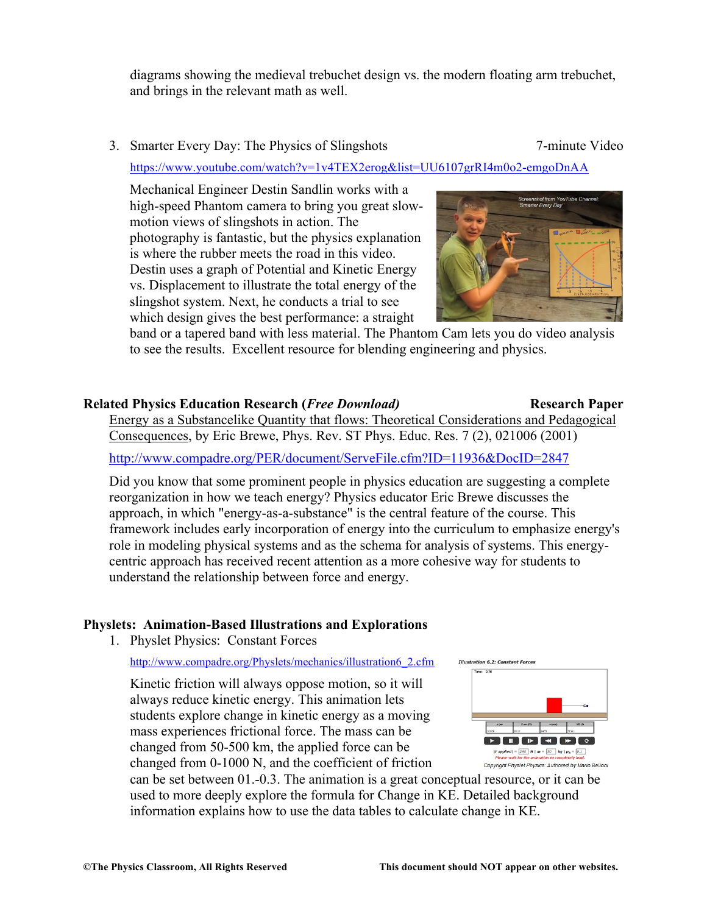diagrams showing the medieval trebuchet design vs. the modern floating arm trebuchet, and brings in the relevant math as well.

### 3. Smarter Every Day: The Physics of Slingshots 7-minute Video

https://www.youtube.com/watch?v=1v4TEX2erog&list=UU6107grRI4m0o2-emgoDnAA

Mechanical Engineer Destin Sandlin works with a high-speed Phantom camera to bring you great slowmotion views of slingshots in action. The photography is fantastic, but the physics explanation is where the rubber meets the road in this video. Destin uses a graph of Potential and Kinetic Energy vs. Displacement to illustrate the total energy of the slingshot system. Next, he conducts a trial to see which design gives the best performance: a straight



band or a tapered band with less material. The Phantom Cam lets you do video analysis to see the results. Excellent resource for blending engineering and physics.

### **Related Physics Education Research (***Free Download)* **Research Paper**

Energy as a Substancelike Quantity that flows: Theoretical Considerations and Pedagogical Consequences, by Eric Brewe, Phys. Rev. ST Phys. Educ. Res. 7 (2), 021006 (2001)

http://www.compadre.org/PER/document/ServeFile.cfm?ID=11936&DocID=2847

Did you know that some prominent people in physics education are suggesting a complete reorganization in how we teach energy? Physics educator Eric Brewe discusses the approach, in which "energy-as-a-substance" is the central feature of the course. This framework includes early incorporation of energy into the curriculum to emphasize energy's role in modeling physical systems and as the schema for analysis of systems. This energycentric approach has received recent attention as a more cohesive way for students to understand the relationship between force and energy.

## **Physlets: Animation-Based Illustrations and Explorations**

1. Physlet Physics: Constant Forces

http://www.compadre.org/Physlets/mechanics/illustration6\_2.cfm

Kinetic friction will always oppose motion, so it will always reduce kinetic energy. This animation lets students explore change in kinetic energy as a moving mass experiences frictional force. The mass can be changed from 50-500 km, the applied force can be changed from 0-1000 N, and the coefficient of friction



can be set between 01.-0.3. The animation is a great conceptual resource, or it can be used to more deeply explore the formula for Change in KE. Detailed background information explains how to use the data tables to calculate change in KE.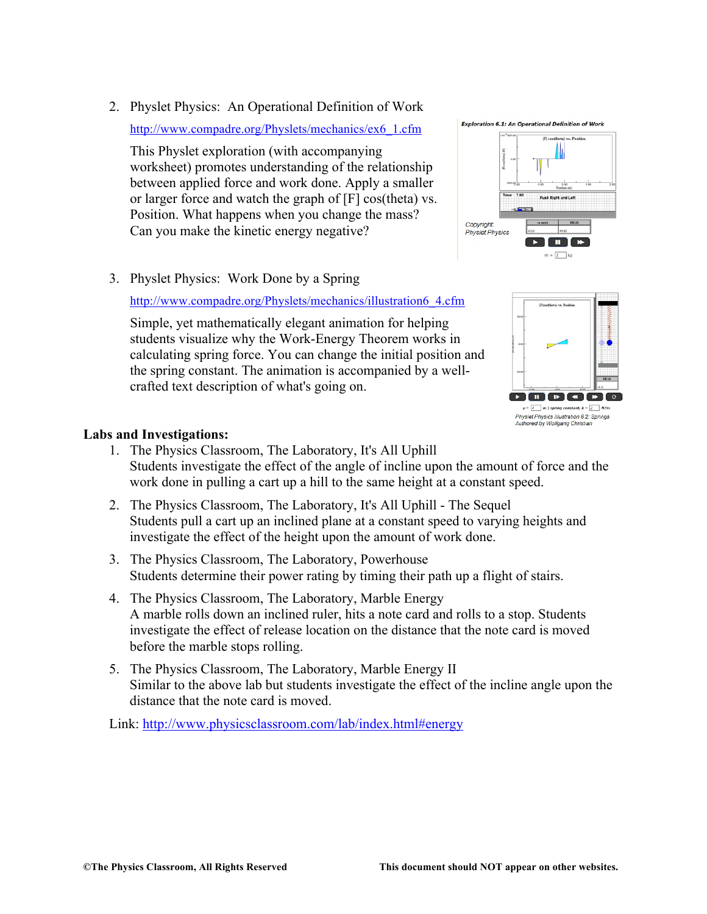2. Physlet Physics: An Operational Definition of Work

http://www.compadre.org/Physlets/mechanics/ex6\_1.cfm

This Physlet exploration (with accompanying worksheet) promotes understanding of the relationship between applied force and work done. Apply a smaller or larger force and watch the graph of [F] cos(theta) vs. Position. What happens when you change the mass? Can you make the kinetic energy negative?

3. Physlet Physics: Work Done by a Spring

http://www.compadre.org/Physlets/mechanics/illustration6\_4.cfm

Simple, yet mathematically elegant animation for helping students visualize why the Work-Energy Theorem works in calculating spring force. You can change the initial position and the spring constant. The animation is accompanied by a wellcrafted text description of what's going on.







Physlet Physics Illustration 6.2: Springs Authored by Wolfgang Christia

### **Labs and Investigations:**

- 1. The Physics Classroom, The Laboratory, It's All Uphill Students investigate the effect of the angle of incline upon the amount of force and the work done in pulling a cart up a hill to the same height at a constant speed.
- 2. The Physics Classroom, The Laboratory, It's All Uphill The Sequel Students pull a cart up an inclined plane at a constant speed to varying heights and investigate the effect of the height upon the amount of work done.
- 3. The Physics Classroom, The Laboratory, Powerhouse Students determine their power rating by timing their path up a flight of stairs.
- 4. The Physics Classroom, The Laboratory, Marble Energy A marble rolls down an inclined ruler, hits a note card and rolls to a stop. Students investigate the effect of release location on the distance that the note card is moved before the marble stops rolling.
- 5. The Physics Classroom, The Laboratory, Marble Energy II Similar to the above lab but students investigate the effect of the incline angle upon the distance that the note card is moved.

Link: http://www.physicsclassroom.com/lab/index.html#energy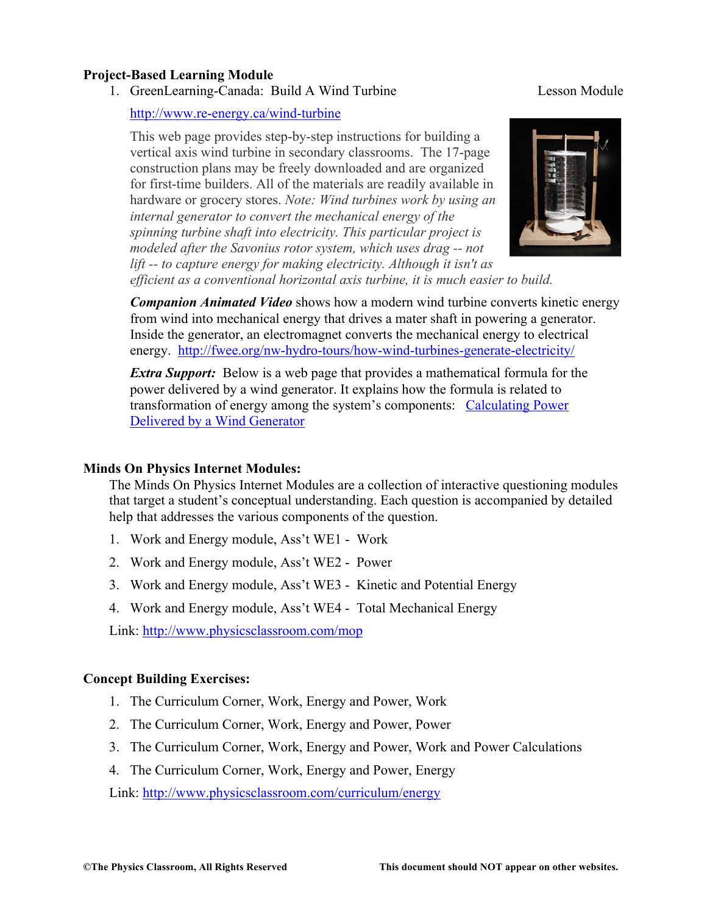### **Project-Based Learning Module**

1. GreenLearning-Canada: Build A Wind Turbine Lesson Module

http://www.re-energy.ca/wind-turbine

This web page provides step-by-step instructions for building a vertical axis wind turbine in secondary classrooms. The 17-page construction plans may be freely downloaded and are organized for first-time builders. All of the materials are readily available in hardware or grocery stores. *Note: Wind turbines work by using an internal generator to convert the mechanical energy of the spinning turbine shaft into electricity. This particular project is modeled after the Savonius rotor system, which uses drag -- not lift -- to capture energy for making electricity. Although it isn't as efficient as a conventional horizontal axis turbine, it is much easier to build.*



*Companion Animated Video* shows how a modern wind turbine converts kinetic energy from wind into mechanical energy that drives a mater shaft in powering a generator. Inside the generator, an electromagnet converts the mechanical energy to electrical energy. http://fwee.org/nw-hydro-tours/how-wind-turbines-generate-electricity/

*Extra Support:* Below is a web page that provides a mathematical formula for the power delivered by a wind generator. It explains how the formula is related to transformation of energy among the system's components: Calculating Power Delivered by a Wind Generator

### **Minds On Physics Internet Modules:**

The Minds On Physics Internet Modules are a collection of interactive questioning modules that target a student's conceptual understanding. Each question is accompanied by detailed help that addresses the various components of the question.

- 1. Work and Energy module, Ass't WE1 Work
- 2. Work and Energy module, Ass't WE2 Power
- 3. Work and Energy module, Ass't WE3 Kinetic and Potential Energy
- 4. Work and Energy module, Ass't WE4 Total Mechanical Energy

Link: http://www.physicsclassroom.com/mop

### **Concept Building Exercises:**

- 1. The Curriculum Corner, Work, Energy and Power, Work
- 2. The Curriculum Corner, Work, Energy and Power, Power
- 3. The Curriculum Corner, Work, Energy and Power, Work and Power Calculations
- 4. The Curriculum Corner, Work, Energy and Power, Energy

Link: http://www.physicsclassroom.com/curriculum/energy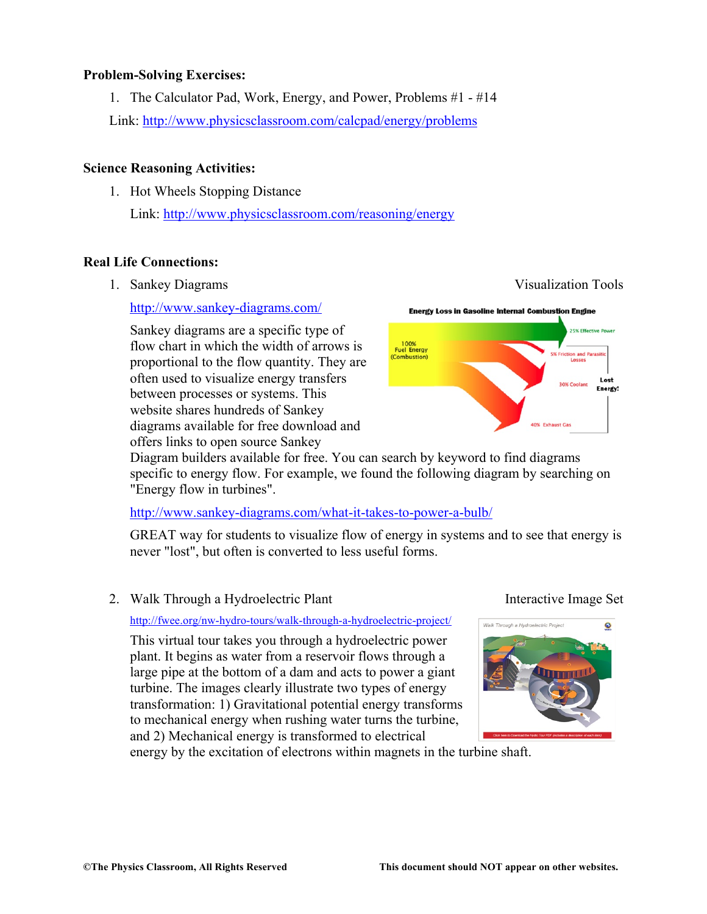### **Problem-Solving Exercises:**

1. The Calculator Pad, Work, Energy, and Power, Problems #1 - #14

Link: http://www.physicsclassroom.com/calcpad/energy/problems

## **Science Reasoning Activities:**

1. Hot Wheels Stopping Distance Link: http://www.physicsclassroom.com/reasoning/energy

## **Real Life Connections:**

1. Sankey Diagrams 1. Sankey Diagrams 1. Sankey Diagrams 1. Nisualization Tools

http://www.sankey-diagrams.com/

Sankey diagrams are a specific type of flow chart in which the width of arrows is proportional to the flow quantity. They are often used to visualize energy transfers between processes or systems. This website shares hundreds of Sankey diagrams available for free download and offers links to open source Sankey



Diagram builders available for free. You can search by keyword to find diagrams specific to energy flow. For example, we found the following diagram by searching on "Energy flow in turbines".

http://www.sankey-diagrams.com/what-it-takes-to-power-a-bulb/

GREAT way for students to visualize flow of energy in systems and to see that energy is never "lost", but often is converted to less useful forms.

2. Walk Through a Hydroelectric Plant Interactive Image Set

## http://fwee.org/nw-hydro-tours/walk-through-a-hydroelectric-project/

This virtual tour takes you through a hydroelectric power plant. It begins as water from a reservoir flows through a large pipe at the bottom of a dam and acts to power a giant turbine. The images clearly illustrate two types of energy transformation: 1) Gravitational potential energy transforms to mechanical energy when rushing water turns the turbine, and 2) Mechanical energy is transformed to electrical



energy by the excitation of electrons within magnets in the turbine shaft.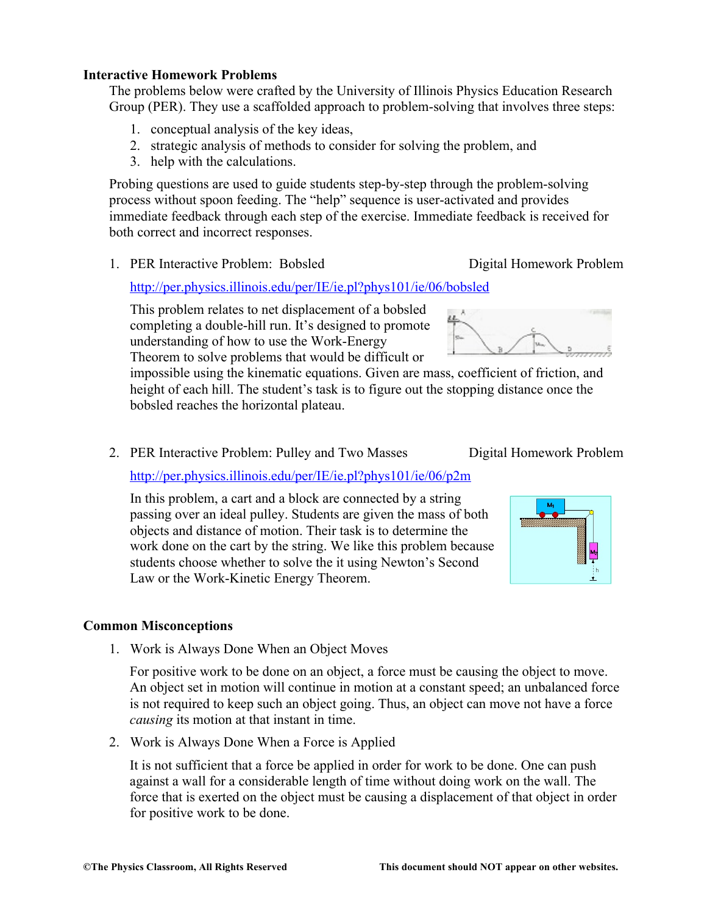### **Interactive Homework Problems**

The problems below were crafted by the University of Illinois Physics Education Research Group (PER). They use a scaffolded approach to problem-solving that involves three steps:

- 1. conceptual analysis of the key ideas,
- 2. strategic analysis of methods to consider for solving the problem, and
- 3. help with the calculations.

Probing questions are used to guide students step-by-step through the problem-solving process without spoon feeding. The "help" sequence is user-activated and provides immediate feedback through each step of the exercise. Immediate feedback is received for both correct and incorrect responses.

1. PER Interactive Problem: Bobsled Digital Homework Problem

http://per.physics.illinois.edu/per/IE/ie.pl?phys101/ie/06/bobsled

This problem relates to net displacement of a bobsled completing a double-hill run. It's designed to promote understanding of how to use the Work-Energy Theorem to solve problems that would be difficult or

impossible using the kinematic equations. Given are mass, coefficient of friction, and height of each hill. The student's task is to figure out the stopping distance once the bobsled reaches the horizontal plateau.

2. PER Interactive Problem: Pulley and Two Masses Digital Homework Problem

http://per.physics.illinois.edu/per/IE/ie.pl?phys101/ie/06/p2m

In this problem, a cart and a block are connected by a string passing over an ideal pulley. Students are given the mass of both objects and distance of motion. Their task is to determine the work done on the cart by the string. We like this problem because students choose whether to solve the it using Newton's Second Law or the Work-Kinetic Energy Theorem.

### **Common Misconceptions**

1. Work is Always Done When an Object Moves

For positive work to be done on an object, a force must be causing the object to move. An object set in motion will continue in motion at a constant speed; an unbalanced force is not required to keep such an object going. Thus, an object can move not have a force *causing* its motion at that instant in time.

2. Work is Always Done When a Force is Applied

It is not sufficient that a force be applied in order for work to be done. One can push against a wall for a considerable length of time without doing work on the wall. The force that is exerted on the object must be causing a displacement of that object in order for positive work to be done.



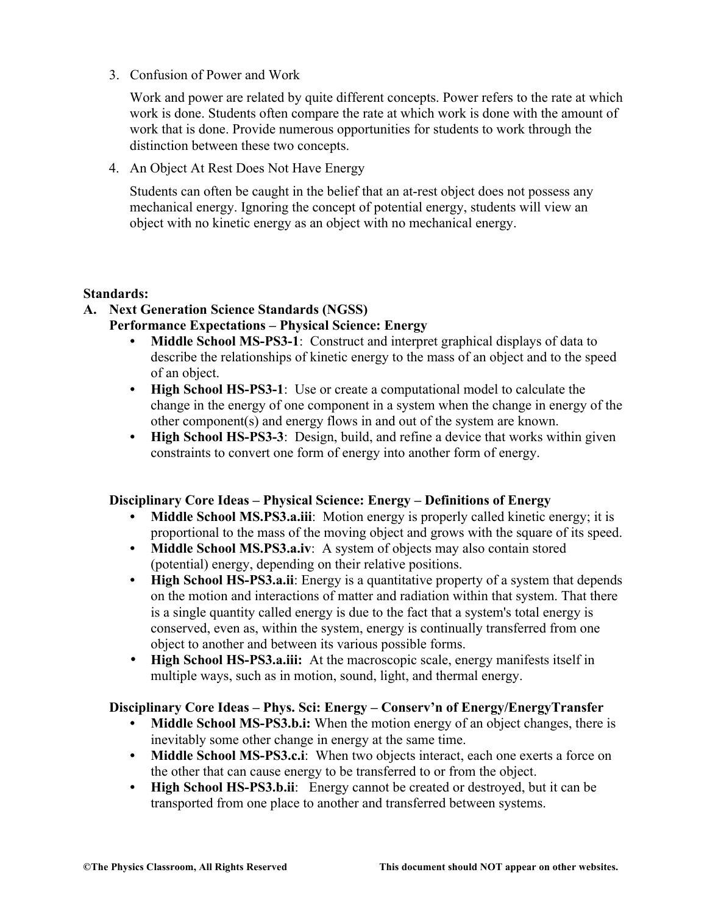3. Confusion of Power and Work

Work and power are related by quite different concepts. Power refers to the rate at which work is done. Students often compare the rate at which work is done with the amount of work that is done. Provide numerous opportunities for students to work through the distinction between these two concepts.

4. An Object At Rest Does Not Have Energy

Students can often be caught in the belief that an at-rest object does not possess any mechanical energy. Ignoring the concept of potential energy, students will view an object with no kinetic energy as an object with no mechanical energy.

### **Standards:**

# **A. Next Generation Science Standards (NGSS)**

## **Performance Expectations – Physical Science: Energy**

- **• Middle School MS-PS3-1**: Construct and interpret graphical displays of data to describe the relationships of kinetic energy to the mass of an object and to the speed of an object.
- **• High School HS-PS3-1**: Use or create a computational model to calculate the change in the energy of one component in a system when the change in energy of the other component(s) and energy flows in and out of the system are known.
- **• High School HS-PS3-3**: Design, build, and refine a device that works within given constraints to convert one form of energy into another form of energy.

## **Disciplinary Core Ideas – Physical Science: Energy – Definitions of Energy**

- **• Middle School MS.PS3.a.iii**: Motion energy is properly called kinetic energy; it is proportional to the mass of the moving object and grows with the square of its speed.
- **• Middle School MS.PS3.a.iv**: A system of objects may also contain stored (potential) energy, depending on their relative positions.
- **• High School HS-PS3.a.ii**: Energy is a quantitative property of a system that depends on the motion and interactions of matter and radiation within that system. That there is a single quantity called energy is due to the fact that a system's total energy is conserved, even as, within the system, energy is continually transferred from one object to another and between its various possible forms.
- **High School HS-PS3.a.iii:** At the macroscopic scale, energy manifests itself in multiple ways, such as in motion, sound, light, and thermal energy.

## **Disciplinary Core Ideas – Phys. Sci: Energy – Conserv'n of Energy/EnergyTransfer**

- **• Middle School MS-PS3.b.i:** When the motion energy of an object changes, there is inevitably some other change in energy at the same time.
- **• Middle School MS-PS3.c.i**: When two objects interact, each one exerts a force on the other that can cause energy to be transferred to or from the object.
- **• High School HS-PS3.b.ii**: Energy cannot be created or destroyed, but it can be transported from one place to another and transferred between systems.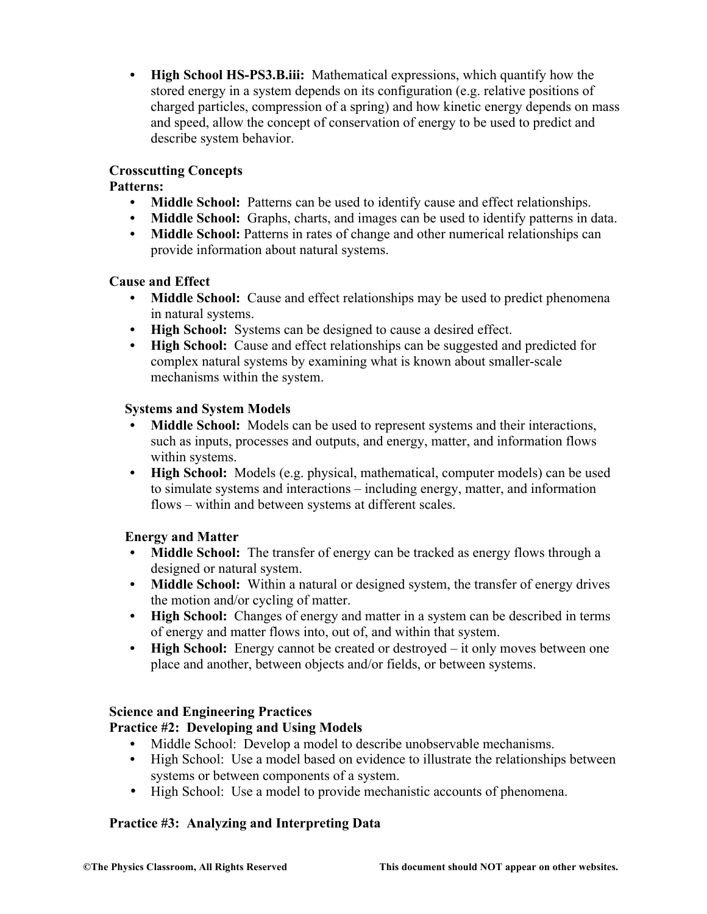**• High School HS-PS3.B.iii:** Mathematical expressions, which quantify how the stored energy in a system depends on its configuration (e.g. relative positions of charged particles, compression of a spring) and how kinetic energy depends on mass and speed, allow the concept of conservation of energy to be used to predict and describe system behavior.

## **Crosscutting Concepts**

## **Patterns:**

- **• Middle School:** Patterns can be used to identify cause and effect relationships.
- **• Middle School:** Graphs, charts, and images can be used to identify patterns in data.
- **• Middle School:** Patterns in rates of change and other numerical relationships can provide information about natural systems.

## **Cause and Effect**

- **Middle School:** Cause and effect relationships may be used to predict phenomena in natural systems.
- **• High School:** Systems can be designed to cause a desired effect.
- **• High School:** Cause and effect relationships can be suggested and predicted for complex natural systems by examining what is known about smaller-scale mechanisms within the system.

## **Systems and System Models**

- **• Middle School:** Models can be used to represent systems and their interactions, such as inputs, processes and outputs, and energy, matter, and information flows within systems.
- **• High School:** Models (e.g. physical, mathematical, computer models) can be used to simulate systems and interactions – including energy, matter, and information flows – within and between systems at different scales.

## **Energy and Matter**

- **• Middle School:** The transfer of energy can be tracked as energy flows through a designed or natural system.
- **Middle School:** Within a natural or designed system, the transfer of energy drives the motion and/or cycling of matter.
- **High School:** Changes of energy and matter in a system can be described in terms of energy and matter flows into, out of, and within that system.
- **High School:** Energy cannot be created or destroyed it only moves between one place and another, between objects and/or fields, or between systems.

## **Science and Engineering Practices**

## **Practice #2: Developing and Using Models**

- **•** Middle School: Develop a model to describe unobservable mechanisms.
- **•** High School: Use a model based on evidence to illustrate the relationships between systems or between components of a system.
- High School: Use a model to provide mechanistic accounts of phenomena.

## **Practice #3: Analyzing and Interpreting Data**